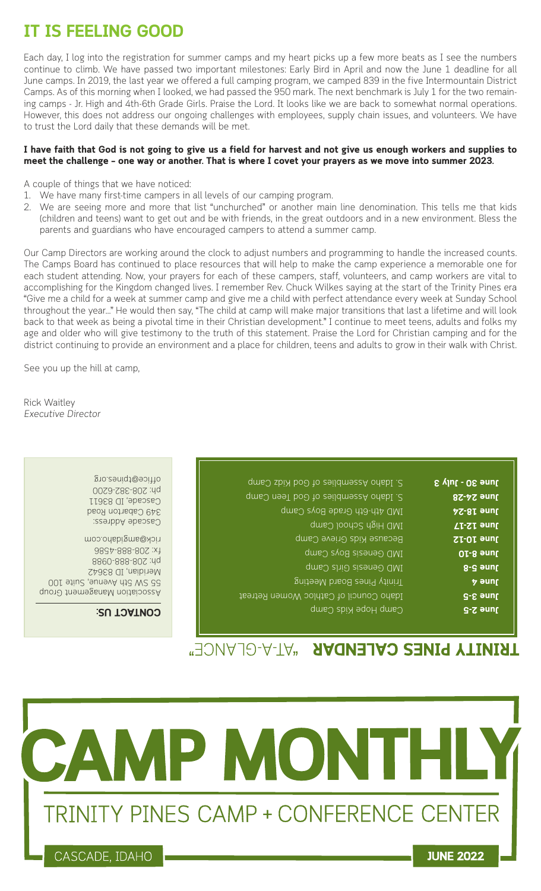## **IT IS FEELING GOOD**

Each day, I log into the registration for summer camps and my heart picks up a few more beats as I see the numbers continue to climb. We have passed two important milestones: Early Bird in April and now the June 1 deadline for all June camps. In 2019, the last year we offered a full camping program, we camped 839 in the five Intermountain District Camps. As of this morning when I looked, we had passed the 950 mark. The next benchmark is July 1 for the two remaining camps - Jr. High and 4th-6th Grade Girls. Praise the Lord. It looks like we are back to somewhat normal operations. However, this does not address our ongoing challenges with employees, supply chain issues, and volunteers. We have to trust the Lord daily that these demands will be met.

## **I have faith that God is not going to give us a field for harvest and not give us enough workers and supplies to meet the challenge – one way or another. That is where I covet your prayers as we move into summer 2023.**

A couple of things that we have noticed:

- 1. We have many first-time campers in all levels of our camping program.
- 2. We are seeing more and more that list "unchurched" or another main line denomination. This tells me that kids (children and teens) want to get out and be with friends, in the great outdoors and in a new environment. Bless the parents and guardians who have encouraged campers to attend a summer camp.

Our Camp Directors are working around the clock to adjust numbers and programming to handle the increased counts. The Camps Board has continued to place resources that will help to make the camp experience a memorable one for each student attending. Now, your prayers for each of these campers, staff, volunteers, and camp workers are vital to accomplishing for the Kingdom changed lives. I remember Rev. Chuck Wilkes saying at the start of the Trinity Pines era "Give me a child for a week at summer camp and give me a child with perfect attendance every week at Sunday School throughout the year..." He would then say, "The child at camp will make major transitions that last a lifetime and will look back to that week as being a pivotal time in their Christian development." I continue to meet teens, adults and folks my age and older who will give testimony to the truth of this statement. Praise the Lord for Christian camping and for the district continuing to provide an environment and a place for children, teens and adults to grow in their walk with Christ.

See you up the hill at camp,

Rick Waitley Executive Director

| S vlut - O& enul  | S. Idaho Assemblies of God Kid2 Camp   |
|-------------------|----------------------------------------|
| <b>June 24-28</b> | S. Idaho Assemblies of God Teen Camp   |
| <b>AS-8I enul</b> | IMD 4th-6th Grade Boys Camp            |
| June 12-17        | IMD High School Camp                   |
| SI-OI anul        | Because Kids Grieve Camp               |
| OI-8 anul         | IMD Genesis Boys Camp                  |
| June 5-8          | IMD Genesis Girls Camp                 |
| <b>b</b> snul     | gnites Board Meeting                   |
| June 3-5          | Idaho Council of Cathloc Women Retreat |
| June 3-5          | Camp Hope Kids Camp                    |
|                   |                                        |

## Cascade Address: 349 Cabarton Road Cascade, ID 83611 ph: 208-382-6200 office@tpines.org

Association Management Group 55 SW 5th Avenue, Suite 100 Meridian, ID 83642 ph: 208-888-0988 fx: 208-888-4586 rick@amgidaho.com

## **CONTACT US:**